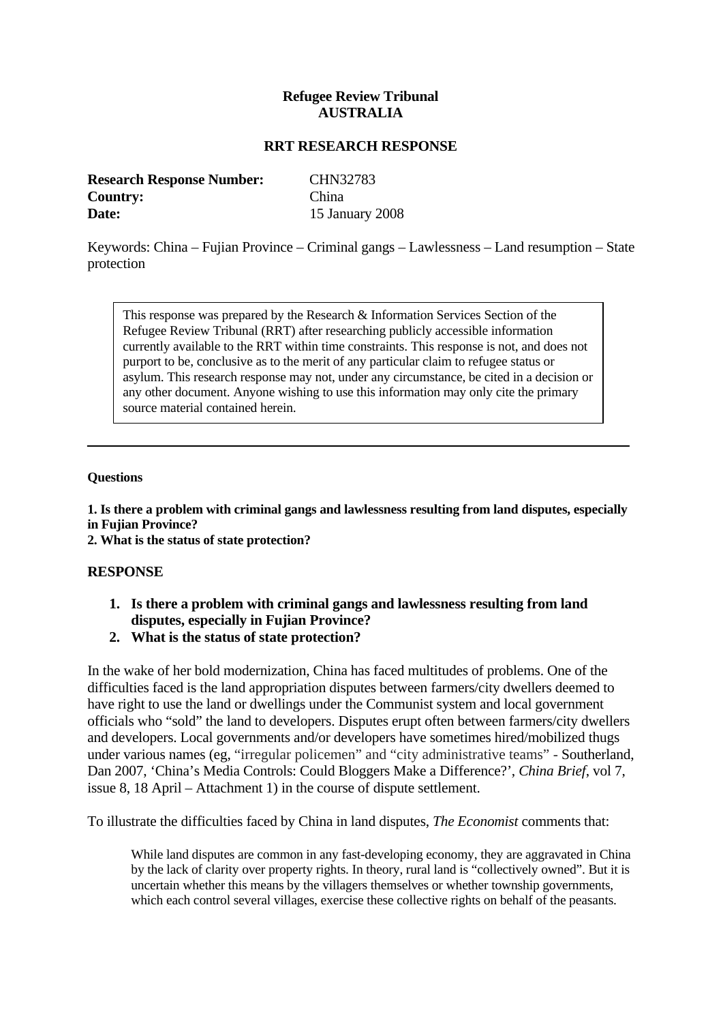# **Refugee Review Tribunal AUSTRALIA**

### **RRT RESEARCH RESPONSE**

| <b>Research Response Number:</b> | CHN32783        |
|----------------------------------|-----------------|
| <b>Country:</b>                  | China           |
| Date:                            | 15 January 2008 |

Keywords: China – Fujian Province – Criminal gangs – Lawlessness – Land resumption – State protection

This response was prepared by the Research & Information Services Section of the Refugee Review Tribunal (RRT) after researching publicly accessible information currently available to the RRT within time constraints. This response is not, and does not purport to be, conclusive as to the merit of any particular claim to refugee status or asylum. This research response may not, under any circumstance, be cited in a decision or any other document. Anyone wishing to use this information may only cite the primary source material contained herein.

#### **Questions**

**1. Is there a problem with criminal gangs and lawlessness resulting from land disputes, especially in Fujian Province?** 

**2. What is the status of state protection?** 

### **RESPONSE**

- **1. Is there a problem with criminal gangs and lawlessness resulting from land disputes, especially in Fujian Province?**
- **2. What is the status of state protection?**

In the wake of her bold modernization, China has faced multitudes of problems. One of the difficulties faced is the land appropriation disputes between farmers/city dwellers deemed to have right to use the land or dwellings under the Communist system and local government officials who "sold" the land to developers. Disputes erupt often between farmers/city dwellers and developers. Local governments and/or developers have sometimes hired/mobilized thugs under various names (eg, "irregular policemen" and "city administrative teams" - Southerland, Dan 2007, 'China's Media Controls: Could Bloggers Make a Difference?', *China Brief*, vol 7, issue 8, 18 April – Attachment 1) in the course of dispute settlement.

To illustrate the difficulties faced by China in land disputes, *The Economist* comments that:

While land disputes are common in any fast-developing economy, they are aggravated in China by the lack of clarity over property rights. In theory, rural land is "collectively owned". But it is uncertain whether this means by the villagers themselves or whether township governments, which each control several villages, exercise these collective rights on behalf of the peasants.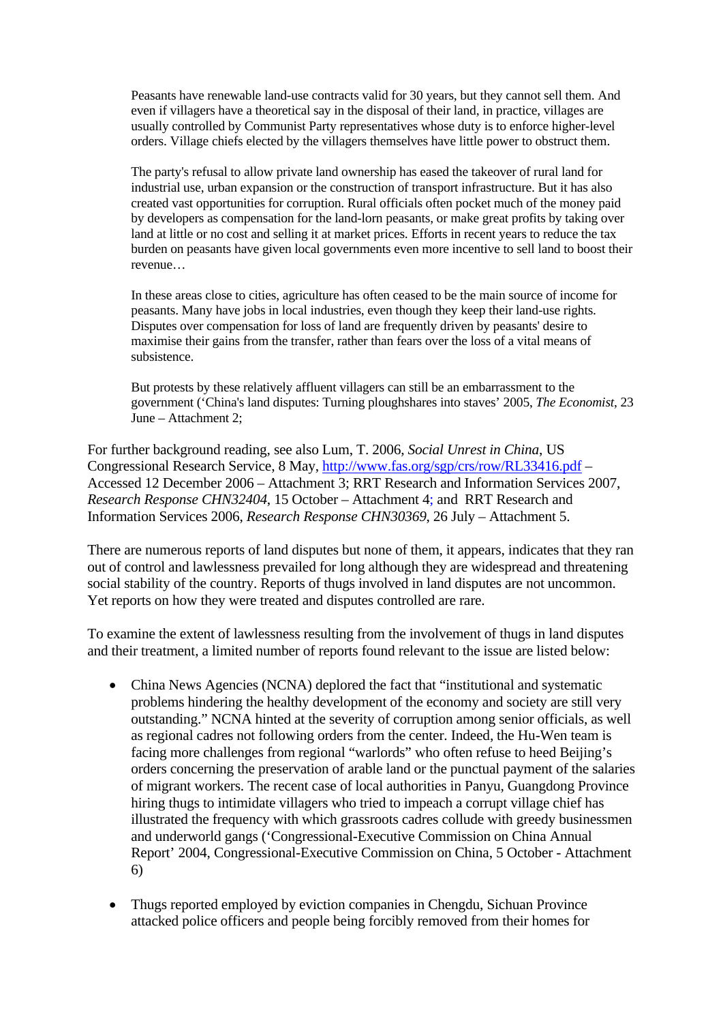Peasants have renewable land-use contracts valid for 30 years, but they cannot sell them. And even if villagers have a theoretical say in the disposal of their land, in practice, villages are usually controlled by Communist Party representatives whose duty is to enforce higher-level orders. Village chiefs elected by the villagers themselves have little power to obstruct them.

The party's refusal to allow private land ownership has eased the takeover of rural land for industrial use, urban expansion or the construction of transport infrastructure. But it has also created vast opportunities for corruption. Rural officials often pocket much of the money paid by developers as compensation for the land-lorn peasants, or make great profits by taking over land at little or no cost and selling it at market prices. Efforts in recent years to reduce the tax burden on peasants have given local governments even more incentive to sell land to boost their revenue…

In these areas close to cities, agriculture has often ceased to be the main source of income for peasants. Many have jobs in local industries, even though they keep their land-use rights. Disputes over compensation for loss of land are frequently driven by peasants' desire to maximise their gains from the transfer, rather than fears over the loss of a vital means of subsistence.

But protests by these relatively affluent villagers can still be an embarrassment to the government ('China's land disputes: Turning ploughshares into staves' 2005, *The Economist*, 23 June – Attachment 2;

For further background reading, see also Lum, T. 2006, *Social Unrest in China*, US Congressional Research Service, 8 May, <http://www.fas.org/sgp/crs/row/RL33416.pdf> – Accessed 12 December 2006 – Attachment 3; RRT Research and Information Services 2007, *Research Response CHN32404*, 15 October – Attachment 4; and RRT Research and Information Services 2006, *Research Response CHN30369*, 26 July – Attachment 5.

There are numerous reports of land disputes but none of them, it appears, indicates that they ran out of control and lawlessness prevailed for long although they are widespread and threatening social stability of the country. Reports of thugs involved in land disputes are not uncommon. Yet reports on how they were treated and disputes controlled are rare.

To examine the extent of lawlessness resulting from the involvement of thugs in land disputes and their treatment, a limited number of reports found relevant to the issue are listed below:

- China News Agencies (NCNA) deplored the fact that "institutional and systematic problems hindering the healthy development of the economy and society are still very outstanding." NCNA hinted at the severity of corruption among senior officials, as well as regional cadres not following orders from the center. Indeed, the Hu-Wen team is facing more challenges from regional "warlords" who often refuse to heed Beijing's orders concerning the preservation of arable land or the punctual payment of the salaries of migrant workers. The recent case of local authorities in Panyu, Guangdong Province hiring thugs to intimidate villagers who tried to impeach a corrupt village chief has illustrated the frequency with which grassroots cadres collude with greedy businessmen and underworld gangs ('Congressional-Executive Commission on China Annual Report' 2004, Congressional-Executive Commission on China, 5 October - Attachment 6)
- Thugs reported employed by eviction companies in Chengdu, Sichuan Province attacked police officers and people being forcibly removed from their homes for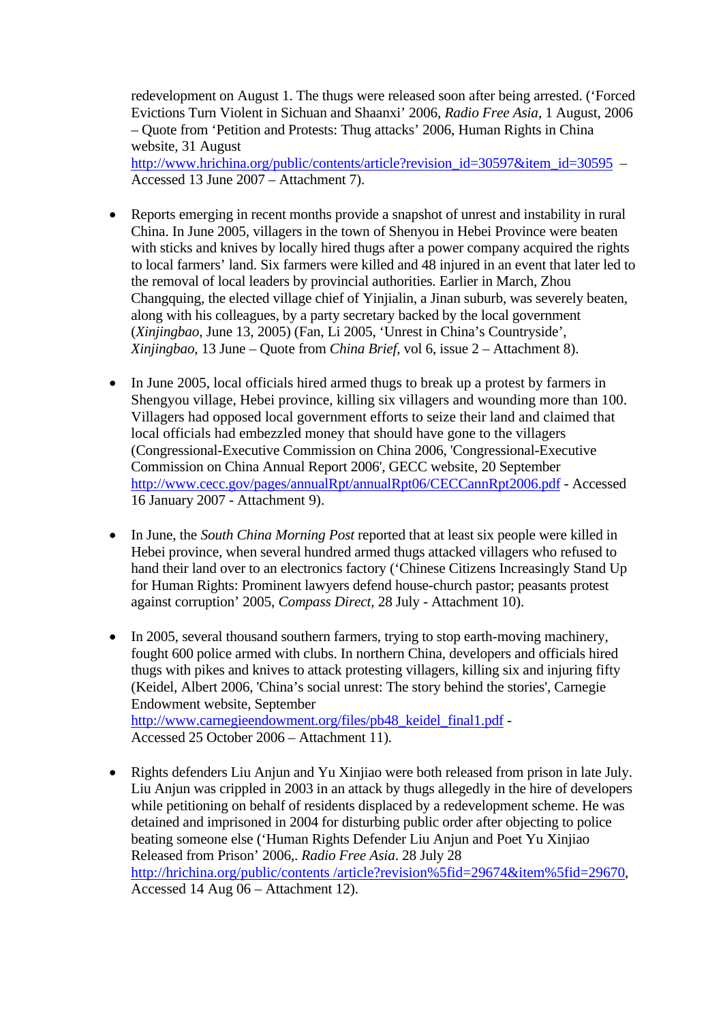redevelopment on August 1. The thugs were released soon after being arrested. ('Forced Evictions Turn Violent in Sichuan and Shaanxi' 2006, *Radio Free Asia*, 1 August, 2006 – Quote from 'Petition and Protests: Thug attacks' 2006, Human Rights in China website, 31 August

http://www.hrichina.org/public/contents/article?revision\_id=30597&item\_id=30595 – Accessed 13 June 2007 – Attachment 7).

- Reports emerging in recent months provide a snapshot of unrest and instability in rural China. In June 2005, villagers in the town of Shenyou in Hebei Province were beaten with sticks and knives by locally hired thugs after a power company acquired the rights to local farmers' land. Six farmers were killed and 48 injured in an event that later led to the removal of local leaders by provincial authorities. Earlier in March, Zhou Changquing, the elected village chief of Yinjialin, a Jinan suburb, was severely beaten, along with his colleagues, by a party secretary backed by the local government (*Xinjingbao*, June 13, 2005) (Fan, Li 2005, 'Unrest in China's Countryside', *Xinjingbao*, 13 June – Quote from *China Brief,* vol 6, issue 2 – Attachment 8).
- In June 2005, local officials hired armed thugs to break up a protest by farmers in Shengyou village, Hebei province, killing six villagers and wounding more than 100. Villagers had opposed local government efforts to seize their land and claimed that local officials had embezzled money that should have gone to the villagers (Congressional-Executive Commission on China 2006, 'Congressional-Executive Commission on China Annual Report 2006', GECC website, 20 September <http://www.cecc.gov/pages/annualRpt/annualRpt06/CECCannRpt2006.pdf>- Accessed 16 January 2007 - Attachment 9).
- In June, the *South China Morning Post* reported that at least six people were killed in Hebei province, when several hundred armed thugs attacked villagers who refused to hand their land over to an electronics factory ('Chinese Citizens Increasingly Stand Up for Human Rights: Prominent lawyers defend house-church pastor; peasants protest against corruption' 2005, *Compass Direct,* 28 July - Attachment 10).
- In 2005, several thousand southern farmers, trying to stop earth-moving machinery, fought 600 police armed with clubs. In northern China, developers and officials hired thugs with pikes and knives to attack protesting villagers, killing six and injuring fifty (Keidel, Albert 2006, 'China's social unrest: The story behind the stories', Carnegie Endowment website, September [http://www.carnegieendowment.org/files/pb48\\_keidel\\_final1.pdf](http://www.carnegieendowment.org/files/pb48_keidel_final1.pdf) -Accessed 25 October 2006 – Attachment 11).
- Rights defenders Liu Anjun and Yu Xinjiao were both released from prison in late July. Liu Anjun was crippled in 2003 in an attack by thugs allegedly in the hire of developers while petitioning on behalf of residents displaced by a redevelopment scheme. He was detained and imprisoned in 2004 for disturbing public order after objecting to police beating someone else ('Human Rights Defender Liu Anjun and Poet Yu Xinjiao Released from Prison' 2006,. *Radio Free Asia*. 28 July 28 [http://hrichina.org/public/contents /article?revision%5fid=29674&item%5fid=29670,](http://hrichina.org/public/contents/article?revision%5fid=29%20674&item%5fid=29670) Accessed 14 Aug 06 – Attachment 12).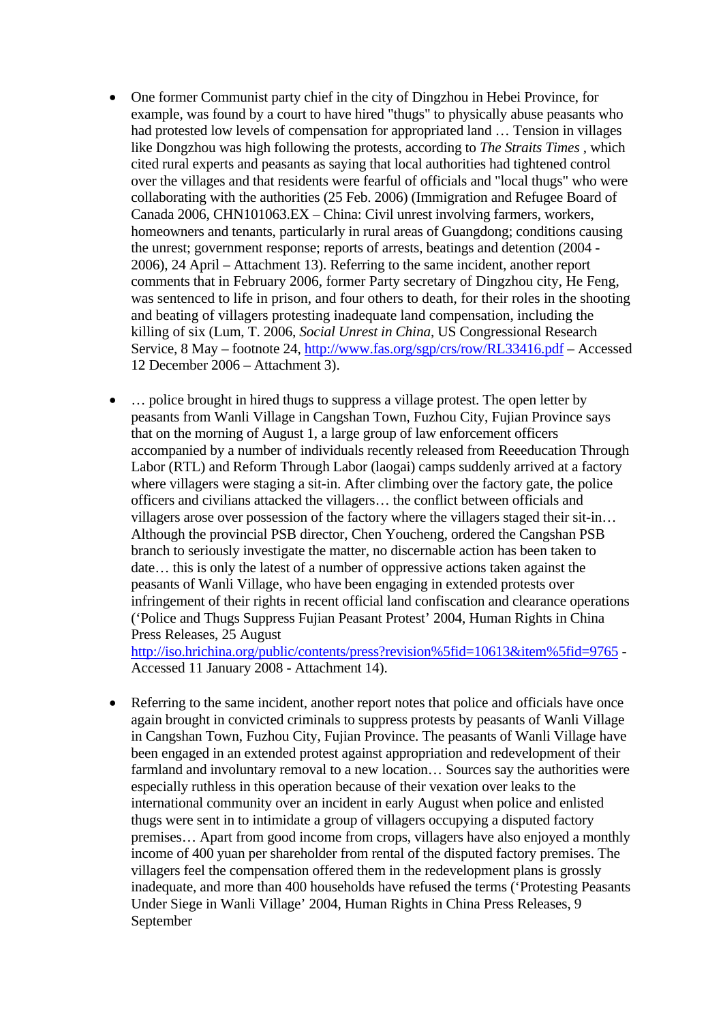- One former Communist party chief in the city of Dingzhou in Hebei Province, for example, was found by a court to have hired "thugs" to physically abuse peasants who had protested low levels of compensation for appropriated land … Tension in villages like Dongzhou was high following the protests, according to *The Straits Times* , which cited rural experts and peasants as saying that local authorities had tightened control over the villages and that residents were fearful of officials and "local thugs" who were collaborating with the authorities (25 Feb. 2006) (Immigration and Refugee Board of Canada 2006, CHN101063.EX – China: Civil unrest involving farmers, workers, homeowners and tenants, particularly in rural areas of Guangdong; conditions causing the unrest; government response; reports of arrests, beatings and detention (2004 - 2006), 24 April – Attachment 13). Referring to the same incident, another report comments that in February 2006, former Party secretary of Dingzhou city, He Feng, was sentenced to life in prison, and four others to death, for their roles in the shooting and beating of villagers protesting inadequate land compensation, including the killing of six (Lum, T. 2006, *Social Unrest in China*, US Congressional Research Service, 8 May – footnote 24, <http://www.fas.org/sgp/crs/row/RL33416.pdf> – Accessed 12 December 2006 – Attachment 3).
- ... police brought in hired thugs to suppress a village protest. The open letter by peasants from Wanli Village in Cangshan Town, Fuzhou City, Fujian Province says that on the morning of August 1, a large group of law enforcement officers accompanied by a number of individuals recently released from Reeeducation Through Labor (RTL) and Reform Through Labor (laogai) camps suddenly arrived at a factory where villagers were staging a sit-in. After climbing over the factory gate, the police officers and civilians attacked the villagers… the conflict between officials and villagers arose over possession of the factory where the villagers staged their sit-in… Although the provincial PSB director, Chen Youcheng, ordered the Cangshan PSB branch to seriously investigate the matter, no discernable action has been taken to date… this is only the latest of a number of oppressive actions taken against the peasants of Wanli Village, who have been engaging in extended protests over infringement of their rights in recent official land confiscation and clearance operations ('Police and Thugs Suppress Fujian Peasant Protest' 2004, Human Rights in China Press Releases, 25 August

<http://iso.hrichina.org/public/contents/press?revision%5fid=10613&item%5fid=9765> - Accessed 11 January 2008 - Attachment 14).

• Referring to the same incident, another report notes that police and officials have once again brought in convicted criminals to suppress protests by peasants of Wanli Village in Cangshan Town, Fuzhou City, Fujian Province. The peasants of Wanli Village have been engaged in an extended protest against appropriation and redevelopment of their farmland and involuntary removal to a new location… Sources say the authorities were especially ruthless in this operation because of their vexation over leaks to the international community over an incident in early August when police and enlisted thugs were sent in to intimidate a group of villagers occupying a disputed factory premises… Apart from good income from crops, villagers have also enjoyed a monthly income of 400 yuan per shareholder from rental of the disputed factory premises. The villagers feel the compensation offered them in the redevelopment plans is grossly inadequate, and more than 400 households have refused the terms ('Protesting Peasants Under Siege in Wanli Village' 2004, Human Rights in China Press Releases, 9 September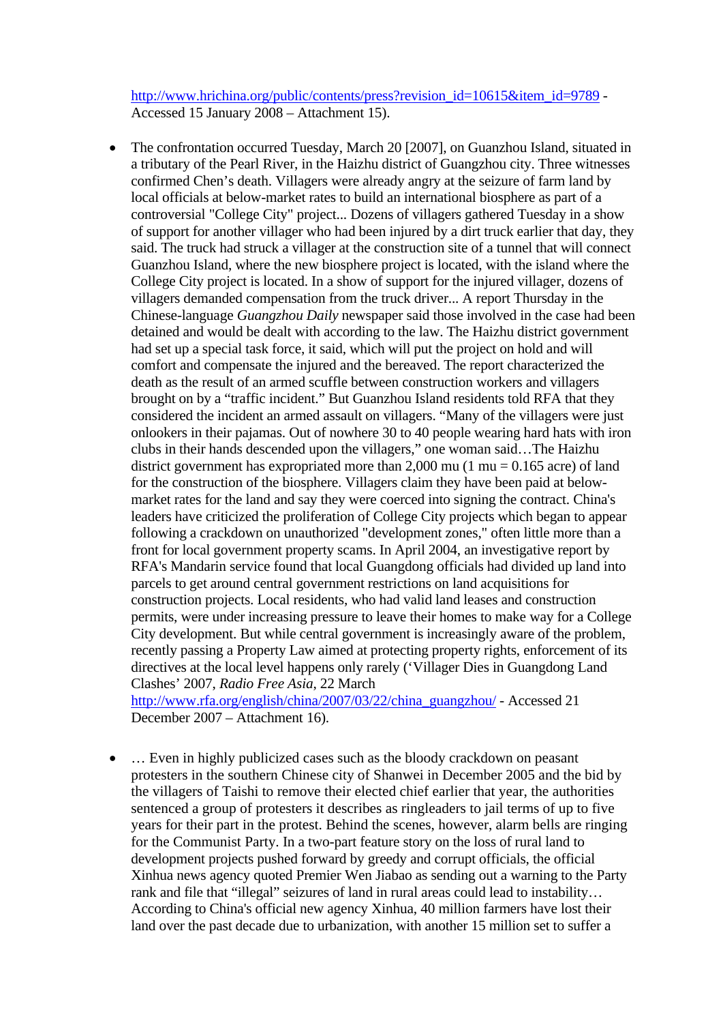http://www.hrichina.org/public/contents/press?revision\_id=10615&item\_id=9789 - Accessed 15 January 2008 – Attachment 15).

• The confrontation occurred Tuesday, March 20 [2007], on Guanzhou Island, situated in a tributary of the Pearl River, in the Haizhu district of Guangzhou city. Three witnesses confirmed Chen's death. Villagers were already angry at the seizure of farm land by local officials at below-market rates to build an international biosphere as part of a controversial "College City" project... Dozens of villagers gathered Tuesday in a show of support for another villager who had been injured by a dirt truck earlier that day, they said. The truck had struck a villager at the construction site of a tunnel that will connect Guanzhou Island, where the new biosphere project is located, with the island where the College City project is located. In a show of support for the injured villager, dozens of villagers demanded compensation from the truck driver... A report Thursday in the Chinese-language *Guangzhou Daily* newspaper said those involved in the case had been detained and would be dealt with according to the law. The Haizhu district government had set up a special task force, it said, which will put the project on hold and will comfort and compensate the injured and the bereaved. The report characterized the death as the result of an armed scuffle between construction workers and villagers brought on by a "traffic incident." But Guanzhou Island residents told RFA that they considered the incident an armed assault on villagers. "Many of the villagers were just onlookers in their pajamas. Out of nowhere 30 to 40 people wearing hard hats with iron clubs in their hands descended upon the villagers," one woman said…The Haizhu district government has expropriated more than 2,000 mu (1 mu =  $0.165$  acre) of land for the construction of the biosphere. Villagers claim they have been paid at belowmarket rates for the land and say they were coerced into signing the contract. China's leaders have criticized the proliferation of College City projects which began to appear following a crackdown on unauthorized "development zones," often little more than a front for local government property scams. In April 2004, an investigative report by RFA's Mandarin service found that local Guangdong officials had divided up land into parcels to get around central government restrictions on land acquisitions for construction projects. Local residents, who had valid land leases and construction permits, were under increasing pressure to leave their homes to make way for a College City development. But while central government is increasingly aware of the problem, recently passing a Property Law aimed at protecting property rights, enforcement of its directives at the local level happens only rarely ('Villager Dies in Guangdong Land Clashes' 2007, *Radio Free Asia*, 22 March

[http://www.rfa.org/english/china/2007/03/22/china\\_guangzhou/](http://www.rfa.org/english/china/2007/03/22/china_guangzhou/) - Accessed 21 December 2007 – Attachment 16).

• ... Even in highly publicized cases such as the bloody crackdown on peasant protesters in the southern Chinese city of Shanwei in December 2005 and the bid by the villagers of Taishi to remove their elected chief earlier that year, the authorities sentenced a group of protesters it describes as ringleaders to jail terms of up to five years for their part in the protest. Behind the scenes, however, alarm bells are ringing for the Communist Party. In a two-part feature story on the loss of rural land to development projects pushed forward by greedy and corrupt officials, the official Xinhua news agency quoted Premier Wen Jiabao as sending out a warning to the Party rank and file that "illegal" seizures of land in rural areas could lead to instability… According to China's official new agency Xinhua, 40 million farmers have lost their land over the past decade due to urbanization, with another 15 million set to suffer a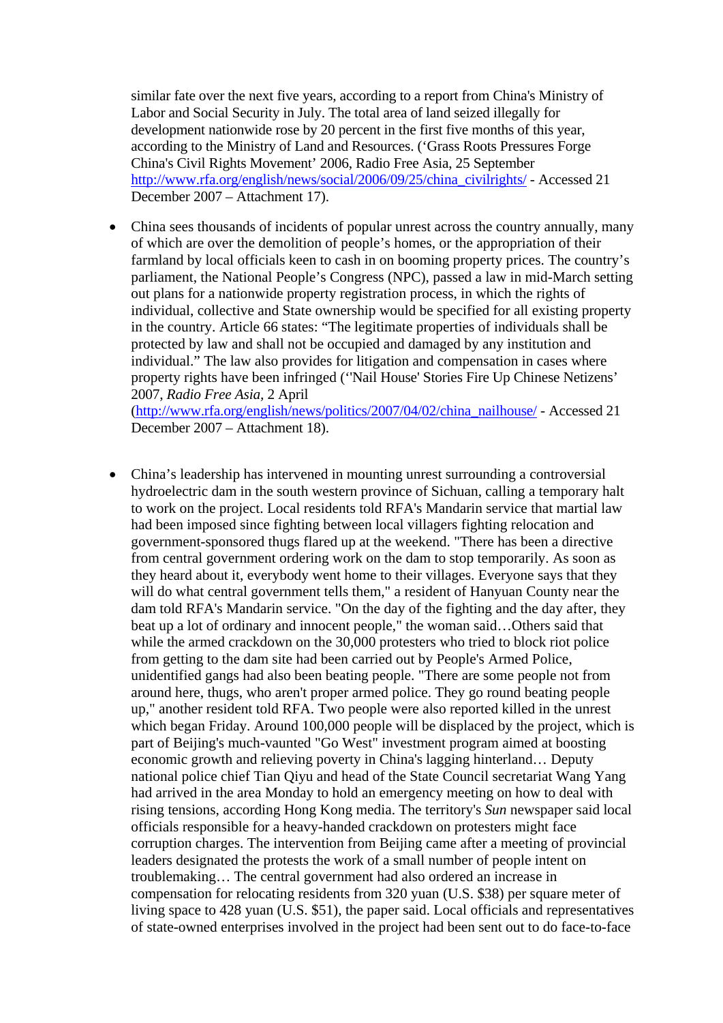similar fate over the next five years, according to a report from China's Ministry of Labor and Social Security in July. The total area of land seized illegally for development nationwide rose by 20 percent in the first five months of this year, according to the Ministry of Land and Resources. ('Grass Roots Pressures Forge China's Civil Rights Movement' 2006, Radio Free Asia, 25 September http://www.rfa.org/english/news/social/2006/09/25/china\_civilrights/ - Accessed 21 December 2007 – Attachment 17).

• China sees thousands of incidents of popular unrest across the country annually, many of which are over the demolition of people's homes, or the appropriation of their farmland by local officials keen to cash in on booming property prices. The country's parliament, the National People's Congress (NPC), passed a law in mid-March setting out plans for a nationwide property registration process, in which the rights of individual, collective and State ownership would be specified for all existing property in the country. Article 66 states: "The legitimate properties of individuals shall be protected by law and shall not be occupied and damaged by any institution and individual." The law also provides for litigation and compensation in cases where property rights have been infringed (''Nail House' Stories Fire Up Chinese Netizens' 2007, *Radio Free Asia,* 2 April ([http://www.rfa.org/english/news/politics/2007/04/02/china\\_nailhouse/](http://www.rfa.org/english/news/politics/2007/04/02/china_nailhouse/) - Accessed 21

December 2007 – Attachment 18).

• China's leadership has intervened in mounting unrest surrounding a controversial hydroelectric dam in the south western province of Sichuan, calling a temporary halt to work on the project. Local residents told RFA's Mandarin service that martial law had been imposed since fighting between local villagers fighting relocation and government-sponsored thugs flared up at the weekend. "There has been a directive from central government ordering work on the dam to stop temporarily. As soon as they heard about it, everybody went home to their villages. Everyone says that they will do what central government tells them," a resident of Hanyuan County near the dam told RFA's Mandarin service. "On the day of the fighting and the day after, they beat up a lot of ordinary and innocent people," the woman said…Others said that while the armed crackdown on the 30,000 protesters who tried to block riot police from getting to the dam site had been carried out by People's Armed Police, unidentified gangs had also been beating people. "There are some people not from around here, thugs, who aren't proper armed police. They go round beating people up," another resident told RFA. Two people were also reported killed in the unrest which began Friday. Around 100,000 people will be displaced by the project, which is part of Beijing's much-vaunted "Go West" investment program aimed at boosting economic growth and relieving poverty in China's lagging hinterland… Deputy national police chief Tian Qiyu and head of the State Council secretariat Wang Yang had arrived in the area Monday to hold an emergency meeting on how to deal with rising tensions, according Hong Kong media. The territory's *Sun* newspaper said local officials responsible for a heavy-handed crackdown on protesters might face corruption charges. The intervention from Beijing came after a meeting of provincial leaders designated the protests the work of a small number of people intent on troublemaking… The central government had also ordered an increase in compensation for relocating residents from 320 yuan (U.S. \$38) per square meter of living space to 428 yuan (U.S. \$51), the paper said. Local officials and representatives of state-owned enterprises involved in the project had been sent out to do face-to-face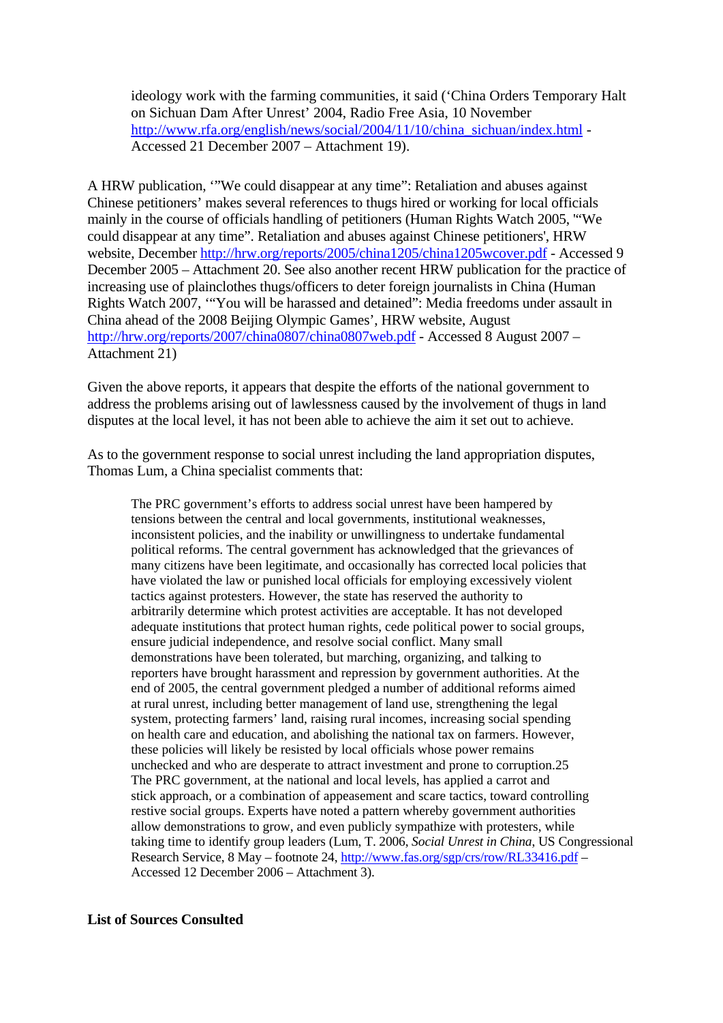ideology work with the farming communities, it said ('China Orders Temporary Halt on Sichuan Dam After Unrest' 2004, Radio Free Asia, 10 November http://www.rfa.org/english/news/social/2004/11/10/china\_sichuan/index.html -Accessed 21 December 2007 – Attachment 19).

A HRW publication, '"We could disappear at any time": Retaliation and abuses against Chinese petitioners' makes several references to thugs hired or working for local officials mainly in the course of officials handling of petitioners (Human Rights Watch 2005, '"We could disappear at any time". Retaliation and abuses against Chinese petitioners', HRW website, December<http://hrw.org/reports/2005/china1205/china1205wcover.pdf>- Accessed 9 December 2005 – Attachment 20. See also another recent HRW publication for the practice of increasing use of plainclothes thugs/officers to deter foreign journalists in China (Human Rights Watch 2007, '"You will be harassed and detained": Media freedoms under assault in China ahead of the 2008 Beijing Olympic Games', HRW website, August <http://hrw.org/reports/2007/china0807/china0807web.pdf> - Accessed 8 August 2007 – Attachment 21)

Given the above reports, it appears that despite the efforts of the national government to address the problems arising out of lawlessness caused by the involvement of thugs in land disputes at the local level, it has not been able to achieve the aim it set out to achieve.

As to the government response to social unrest including the land appropriation disputes, Thomas Lum, a China specialist comments that:

The PRC government's efforts to address social unrest have been hampered by tensions between the central and local governments, institutional weaknesses, inconsistent policies, and the inability or unwillingness to undertake fundamental political reforms. The central government has acknowledged that the grievances of many citizens have been legitimate, and occasionally has corrected local policies that have violated the law or punished local officials for employing excessively violent tactics against protesters. However, the state has reserved the authority to arbitrarily determine which protest activities are acceptable. It has not developed adequate institutions that protect human rights, cede political power to social groups, ensure judicial independence, and resolve social conflict. Many small demonstrations have been tolerated, but marching, organizing, and talking to reporters have brought harassment and repression by government authorities. At the end of 2005, the central government pledged a number of additional reforms aimed at rural unrest, including better management of land use, strengthening the legal system, protecting farmers' land, raising rural incomes, increasing social spending on health care and education, and abolishing the national tax on farmers. However, these policies will likely be resisted by local officials whose power remains unchecked and who are desperate to attract investment and prone to corruption.25 The PRC government, at the national and local levels, has applied a carrot and stick approach, or a combination of appeasement and scare tactics, toward controlling restive social groups. Experts have noted a pattern whereby government authorities allow demonstrations to grow, and even publicly sympathize with protesters, while taking time to identify group leaders (Lum, T. 2006, *Social Unrest in China*, US Congressional Research Service, 8 May – footnote 24, <http://www.fas.org/sgp/crs/row/RL33416.pdf> – Accessed 12 December 2006 – Attachment 3).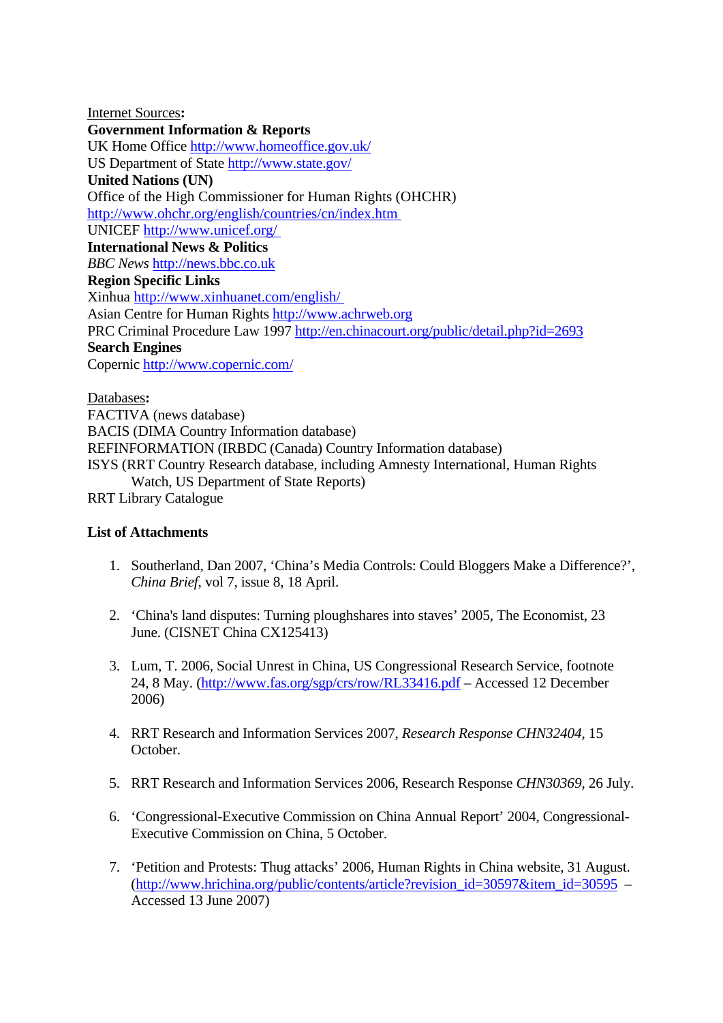Internet Sources**: Government Information & Reports** UK Home Office <http://www.homeoffice.gov.uk/> US Department of State <http://www.state.gov/> **United Nations (UN)**  Office of the High Commissioner for Human Rights (OHCHR) <http://www.ohchr.org/english/countries/cn/index.htm> UNICEF<http://www.unicef.org/> **International News & Politics** *BBC News* [http://news.bbc.co.uk](http://news.bbc.co.uk/)  **Region Specific Links**  Xinhua<http://www.xinhuanet.com/english/> Asian Centre for Human Rights [http://www.achrweb.org](http://www.achrweb.org/) PRC Criminal Procedure Law 1997<http://en.chinacourt.org/public/detail.php?id=2693> **Search Engines** Copernic<http://www.copernic.com/>

Databases**:**  FACTIVA (news database) BACIS (DIMA Country Information database) REFINFORMATION (IRBDC (Canada) Country Information database) ISYS (RRT Country Research database, including Amnesty International, Human Rights Watch, US Department of State Reports) RRT Library Catalogue

## **List of Attachments**

- 1. Southerland, Dan 2007, 'China's Media Controls: Could Bloggers Make a Difference?', *China Brief*, vol 7, issue 8, 18 April.
- 2. 'China's land disputes: Turning ploughshares into staves' 2005, The Economist, 23 June. (CISNET China CX125413)
- 3. Lum, T. 2006, Social Unrest in China, US Congressional Research Service, footnote 24, 8 May. (<http://www.fas.org/sgp/crs/row/RL33416.pdf> – Accessed 12 December 2006)
- 4. RRT Research and Information Services 2007, *Research Response CHN32404*, 15 October.
- 5. RRT Research and Information Services 2006, Research Response *CHN30369*, 26 July.
- 6. 'Congressional-Executive Commission on China Annual Report' 2004, Congressional-Executive Commission on China, 5 October.
- 7. 'Petition and Protests: Thug attacks' 2006, Human Rights in China website, 31 August. ([http://www.hrichina.org/public/contents/article?revision\\_id=30597&item\\_id=30595](http://www.hrichina.org/public/contents/article?revision_id=30597&item_id=30595) – Accessed 13 June 2007)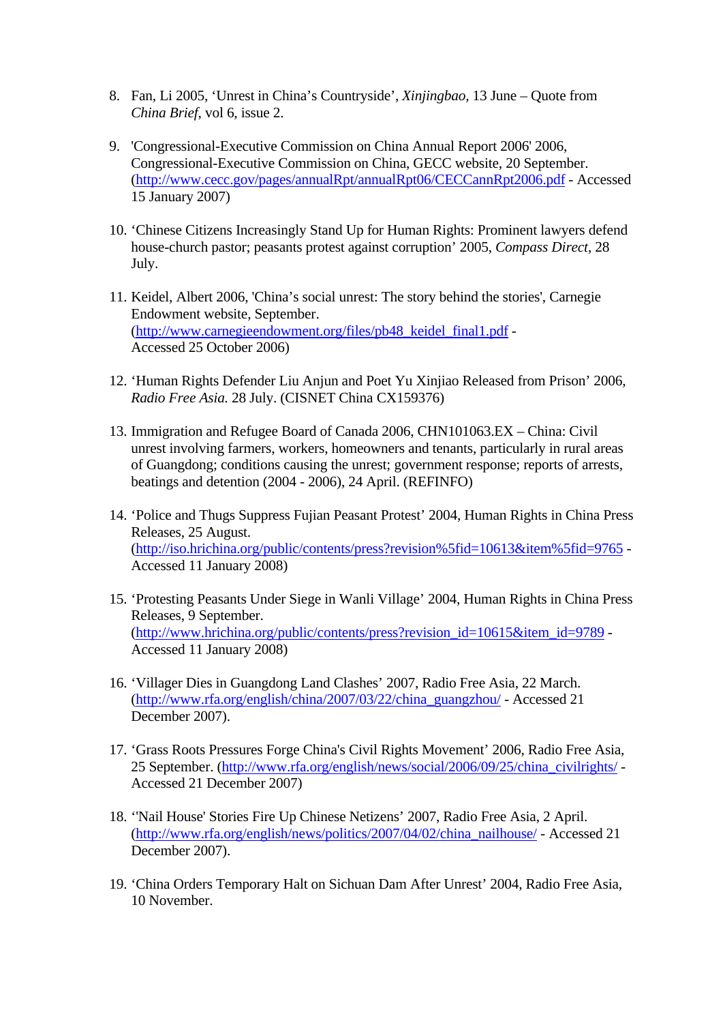- 8. Fan, Li 2005, 'Unrest in China's Countryside', *Xinjingbao,* 13 June Quote from *China Brief*, vol 6, issue 2.
- 9. 'Congressional-Executive Commission on China Annual Report 2006' 2006, Congressional-Executive Commission on China, GECC website, 20 September. (<http://www.cecc.gov/pages/annualRpt/annualRpt06/CECCannRpt2006.pdf>- Accessed 15 January 2007)
- 10. 'Chinese Citizens Increasingly Stand Up for Human Rights: Prominent lawyers defend house-church pastor; peasants protest against corruption' 2005, *Compass Direct*, 28 July.
- 11. Keidel, Albert 2006, 'China's social unrest: The story behind the stories', Carnegie Endowment website, September. ([http://www.carnegieendowment.org/files/pb48\\_keidel\\_final1.pdf](http://www.carnegieendowment.org/files/pb48_keidel_final1.pdf) - Accessed 25 October 2006)
- 12. 'Human Rights Defender Liu Anjun and Poet Yu Xinjiao Released from Prison' 2006, *Radio Free Asia.* 28 July. (CISNET China CX159376)
- 13. Immigration and Refugee Board of Canada 2006, CHN101063.EX China: Civil unrest involving farmers, workers, homeowners and tenants, particularly in rural areas of Guangdong; conditions causing the unrest; government response; reports of arrests, beatings and detention (2004 - 2006), 24 April. (REFINFO)
- 14. 'Police and Thugs Suppress Fujian Peasant Protest' 2004, Human Rights in China Press Releases, 25 August. (<http://iso.hrichina.org/public/contents/press?revision%5fid=10613&item%5fid=9765> - Accessed 11 January 2008)
- 15. 'Protesting Peasants Under Siege in Wanli Village' 2004, Human Rights in China Press Releases, 9 September. ([http://www.hrichina.org/public/contents/press?revision\\_id=10615&item\\_id=9789](http://www.hrichina.org/public/contents/press?revision_id=10615&item_id=9789) - Accessed 11 January 2008)
- 16. 'Villager Dies in Guangdong Land Clashes' 2007, Radio Free Asia, 22 March. ([http://www.rfa.org/english/china/2007/03/22/china\\_guangzhou/](http://www.rfa.org/english/china/2007/03/22/china_guangzhou/) - Accessed 21 December 2007).
- 17. 'Grass Roots Pressures Forge China's Civil Rights Movement' 2006, Radio Free Asia, 25 September. ([http://www.rfa.org/english/news/social/2006/09/25/china\\_civilrights/](http://www.rfa.org/english/news/social/2006/09/25/china_civilrights/) - Accessed 21 December 2007)
- 18. ''Nail House' Stories Fire Up Chinese Netizens' 2007, Radio Free Asia, 2 April. ([http://www.rfa.org/english/news/politics/2007/04/02/china\\_nailhouse/](http://www.rfa.org/english/news/politics/2007/04/02/china_nailhouse/) - Accessed 21 December 2007).
- 19. 'China Orders Temporary Halt on Sichuan Dam After Unrest' 2004, Radio Free Asia, 10 November.